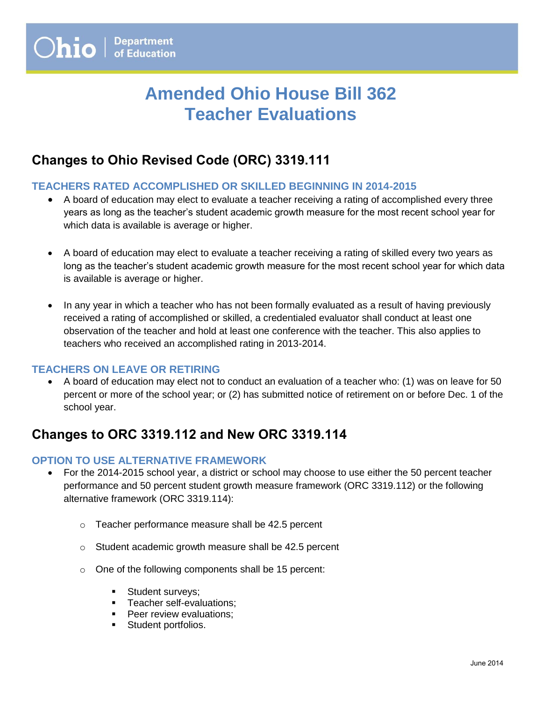# **Amended Ohio House Bill 362 Teacher Evaluations**

## **Changes to Ohio Revised Code (ORC) 3319.111**

### **TEACHERS RATED ACCOMPLISHED OR SKILLED BEGINNING IN 2014-2015**

- A board of education may elect to evaluate a teacher receiving a rating of accomplished every three years as long as the teacher's student academic growth measure for the most recent school year for which data is available is average or higher.
- A board of education may elect to evaluate a teacher receiving a rating of skilled every two years as long as the teacher's student academic growth measure for the most recent school year for which data is available is average or higher.
- In any year in which a teacher who has not been formally evaluated as a result of having previously received a rating of accomplished or skilled, a credentialed evaluator shall conduct at least one observation of the teacher and hold at least one conference with the teacher. This also applies to teachers who received an accomplished rating in 2013-2014.

#### **TEACHERS ON LEAVE OR RETIRING**

 A board of education may elect not to conduct an evaluation of a teacher who: (1) was on leave for 50 percent or more of the school year; or (2) has submitted notice of retirement on or before Dec. 1 of the school year.

## **Changes to ORC 3319.112 and New ORC 3319.114**

#### **OPTION TO USE ALTERNATIVE FRAMEWORK**

- For the 2014-2015 school year, a district or school may choose to use either the 50 percent teacher performance and 50 percent student growth measure framework (ORC 3319.112) or the following alternative framework (ORC 3319.114):
	- o Teacher performance measure shall be 42.5 percent
	- o Student academic growth measure shall be 42.5 percent
	- o One of the following components shall be 15 percent:
		- **Student surveys;**
		- **Teacher self-evaluations;**
		- **Peer review evaluations;**
		- **Student portfolios.**